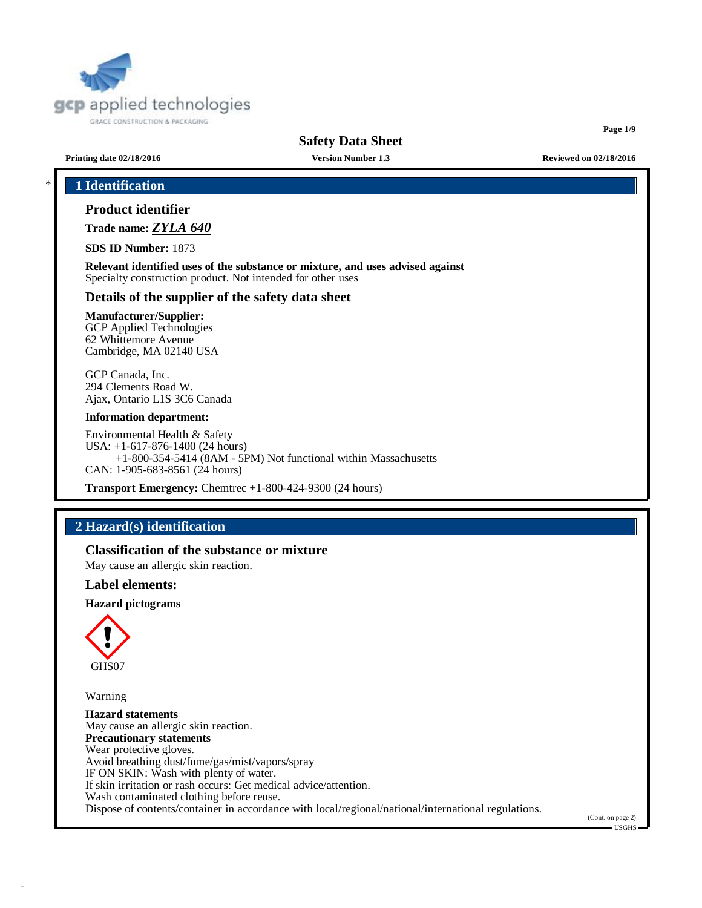

**Page 1/9**

**Printing date 02/18/2016 Version Number 1.3 Reviewed on 02/18/2016**

# \* **1 Identification**

# **Product identifier**

**Trade name:** *ZYLA 640*

**SDS ID Number:** 1873

**Relevant identified uses of the substance or mixture, and uses advised against** Specialty construction product. Not intended for other uses

## **Details of the supplier of the safety data sheet**

## **Manufacturer/Supplier:**

GCP Applied Technologies 62 Whittemore Avenue Cambridge, MA 02140 USA

GCP Canada, Inc. 294 Clements Road W. Ajax, Ontario L1S 3C6 Canada

#### **Information department:**

Environmental Health & Safety USA: +1-617-876-1400 (24 hours) +1-800-354-5414 (8AM - 5PM) Not functional within Massachusetts CAN: 1-905-683-8561 (24 hours)

**Transport Emergency:** Chemtrec +1-800-424-9300 (24 hours)

# **2 Hazard(s) identification**

**Classification of the substance or mixture**

May cause an allergic skin reaction.

## **Label elements:**

**Hazard pictograms**



Warning

**Hazard statements** May cause an allergic skin reaction. **Precautionary statements** Wear protective gloves. Avoid breathing dust/fume/gas/mist/vapors/spray IF ON SKIN: Wash with plenty of water. If skin irritation or rash occurs: Get medical advice/attention. Wash contaminated clothing before reuse. Dispose of contents/container in accordance with local/regional/national/international regulations.

(Cont. on page 2)

 $=$  USGHS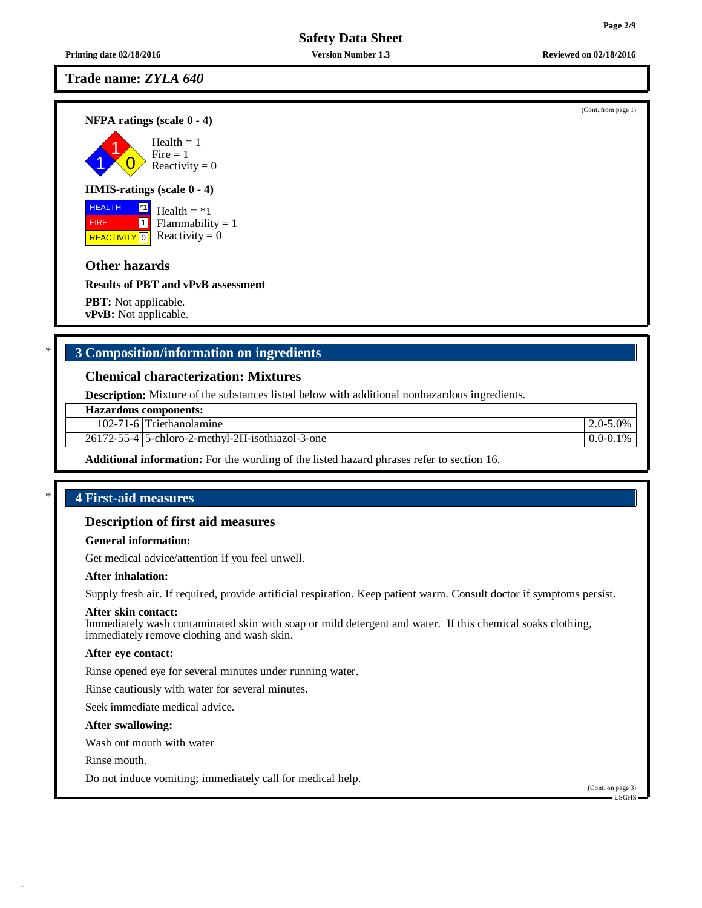**Printing date 02/18/2016 Version Number 1.3 Reviewed on 02/18/2016**

## **Trade name:** *ZYLA 640*

**NFPA ratings (scale 0 - 4)**

1 1  $\overline{0}$ Health  $= 1$  $Fire = 1$ Reactivity  $= 0$ 

#### **HMIS-ratings (scale 0 - 4)**

 HEALTH FIRE REACTIVITY  $\boxed{0}$  Reactivity = 0 \*1 1 Health  $=$   $*1$  $Flammability = 1$ 

# **Other hazards**

**Results of PBT and vPvB assessment**

**PBT:** Not applicable. **vPvB:** Not applicable.

# \* **3 Composition/information on ingredients**

#### **Chemical characterization: Mixtures**

**Description:** Mixture of the substances listed below with additional nonhazardous ingredients.

| <b>Hazardous components:</b> |
|------------------------------|
|------------------------------|

102-71-6 Triethanolamine 2.0-5.0%

26172-55-4 5-chloro-2-methyl-2H-isothiazol-3-one 0.0-0.1%

**Additional information:** For the wording of the listed hazard phrases refer to section 16.

## \* **4 First-aid measures**

#### **Description of first aid measures**

#### **General information:**

Get medical advice/attention if you feel unwell.

#### **After inhalation:**

Supply fresh air. If required, provide artificial respiration. Keep patient warm. Consult doctor if symptoms persist.

#### **After skin contact:**

Immediately wash contaminated skin with soap or mild detergent and water. If this chemical soaks clothing, immediately remove clothing and wash skin.

#### **After eye contact:**

Rinse opened eye for several minutes under running water.

Rinse cautiously with water for several minutes.

Seek immediate medical advice.

#### **After swallowing:**

Wash out mouth with water

Rinse mouth.

Do not induce vomiting; immediately call for medical help.

(Cont. on page 3) USGHS

(Cont. from page 1)

**Page 2/9**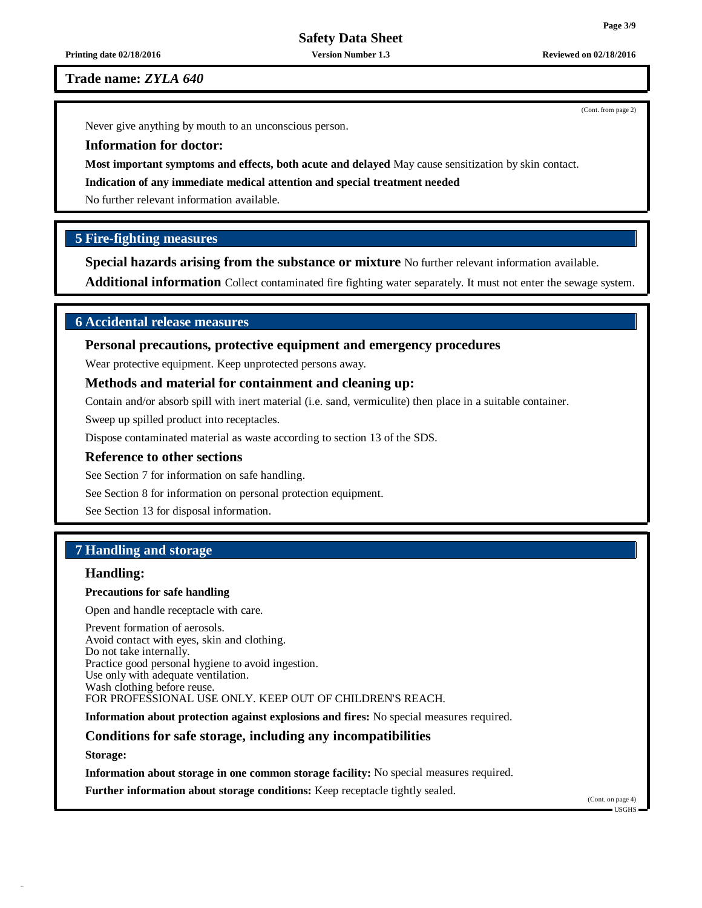**Printing date 02/18/2016 Version Number 1.3 Reviewed on 02/18/2016**

**Trade name:** *ZYLA 640*

Never give anything by mouth to an unconscious person.

**Information for doctor:**

**Most important symptoms and effects, both acute and delayed** May cause sensitization by skin contact.

**Indication of any immediate medical attention and special treatment needed**

No further relevant information available.

# **5 Fire-fighting measures**

**Special hazards arising from the substance or mixture** No further relevant information available.

**Additional information** Collect contaminated fire fighting water separately. It must not enter the sewage system.

## **6 Accidental release measures**

## **Personal precautions, protective equipment and emergency procedures**

Wear protective equipment. Keep unprotected persons away.

#### **Methods and material for containment and cleaning up:**

Contain and/or absorb spill with inert material (i.e. sand, vermiculite) then place in a suitable container.

Sweep up spilled product into receptacles.

Dispose contaminated material as waste according to section 13 of the SDS.

#### **Reference to other sections**

See Section 7 for information on safe handling.

See Section 8 for information on personal protection equipment.

See Section 13 for disposal information.

# **7 Handling and storage**

## **Handling:**

#### **Precautions for safe handling**

Open and handle receptacle with care.

Prevent formation of aerosols. Avoid contact with eyes, skin and clothing. Do not take internally. Practice good personal hygiene to avoid ingestion. Use only with adequate ventilation. Wash clothing before reuse. FOR PROFESSIONAL USE ONLY. KEEP OUT OF CHILDREN'S REACH.

**Information about protection against explosions and fires:** No special measures required.

#### **Conditions for safe storage, including any incompatibilities**

**Storage:**

**Information about storage in one common storage facility:** No special measures required.

**Further information about storage conditions:** Keep receptacle tightly sealed.

(Cont. on page 4) USGHS

(Cont. from page 2)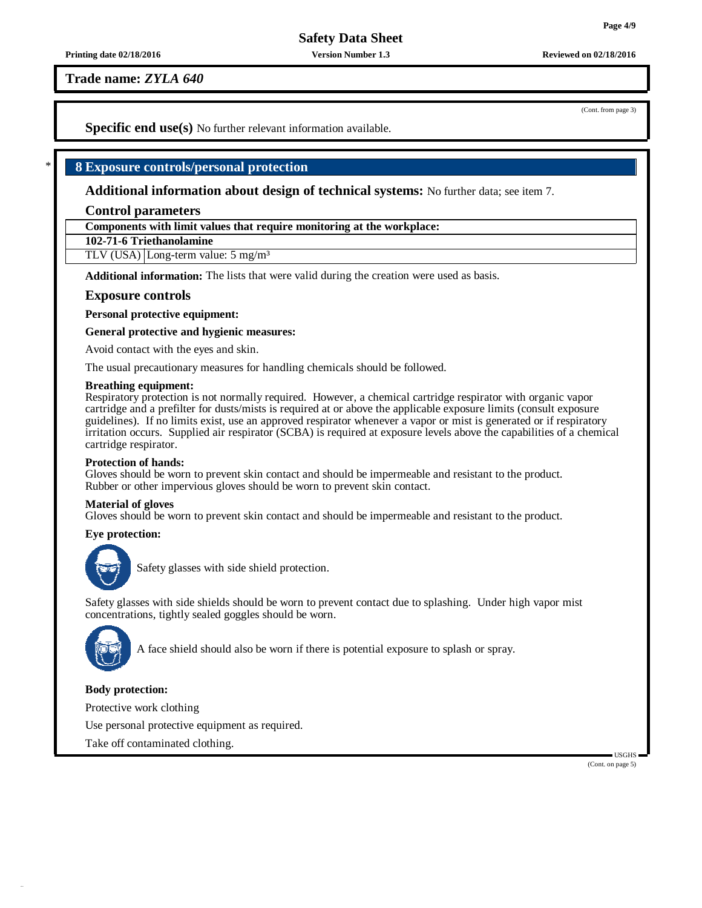**Printing date 02/18/2016 Version Number 1.3 Reviewed on 02/18/2016**

**Trade name:** *ZYLA 640*

(Cont. from page 3)

**Specific end use(s)** No further relevant information available.

# \* **8 Exposure controls/personal protection**

**Additional information about design of technical systems:** No further data; see item 7.

## **Control parameters**

**Components with limit values that require monitoring at the workplace:**

**102-71-6 Triethanolamine**

TLV (USA) Long-term value: 5 mg/m<sup>3</sup>

**Additional information:** The lists that were valid during the creation were used as basis.

## **Exposure controls**

**Personal protective equipment:**

**General protective and hygienic measures:**

Avoid contact with the eyes and skin.

The usual precautionary measures for handling chemicals should be followed.

#### **Breathing equipment:**

Respiratory protection is not normally required. However, a chemical cartridge respirator with organic vapor cartridge and a prefilter for dusts/mists is required at or above the applicable exposure limits (consult exposure guidelines). If no limits exist, use an approved respirator whenever a vapor or mist is generated or if respiratory irritation occurs. Supplied air respirator (SCBA) is required at exposure levels above the capabilities of a chemical cartridge respirator.

#### **Protection of hands:**

Gloves should be worn to prevent skin contact and should be impermeable and resistant to the product. Rubber or other impervious gloves should be worn to prevent skin contact.

#### **Material of gloves**

Gloves should be worn to prevent skin contact and should be impermeable and resistant to the product.

#### **Eye protection:**



Safety glasses with side shield protection.

Safety glasses with side shields should be worn to prevent contact due to splashing. Under high vapor mist concentrations, tightly sealed goggles should be worn.



A face shield should also be worn if there is potential exposure to splash or spray.

## **Body protection:**

Protective work clothing

Use personal protective equipment as required.

Take off contaminated clothing.

USGHS (Cont. on page 5)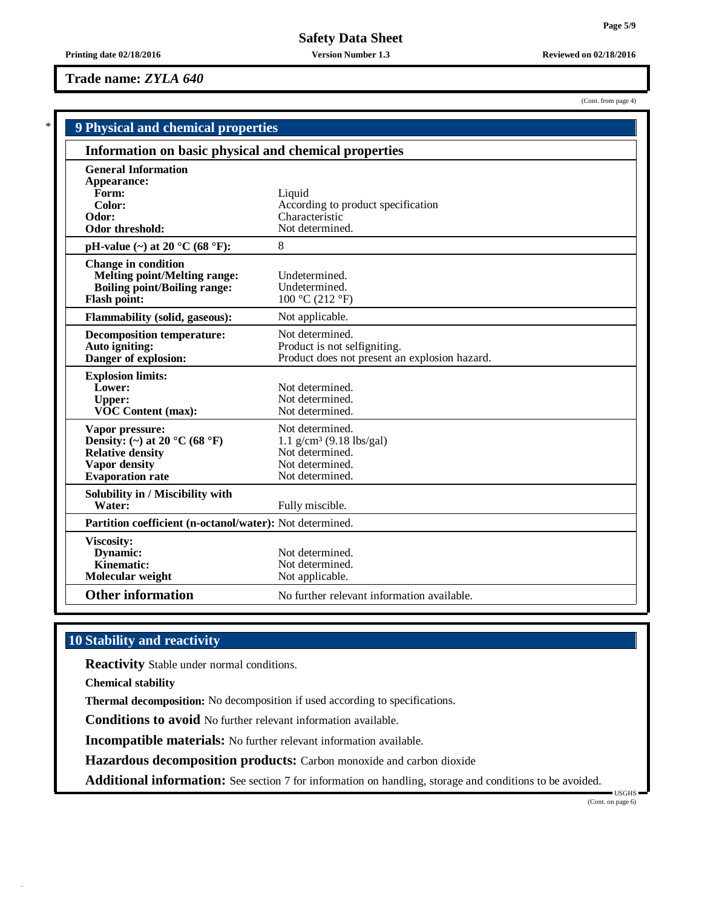(Cont. from page 4)

**Printing date 02/18/2016 Version Number 1.3 Reviewed on 02/18/2016**

## **Trade name:** *ZYLA 640*

| <b>9 Physical and chemical properties</b>                                                                                       |                                                                                                                    |
|---------------------------------------------------------------------------------------------------------------------------------|--------------------------------------------------------------------------------------------------------------------|
| Information on basic physical and chemical properties                                                                           |                                                                                                                    |
| <b>General Information</b><br>Appearance:<br>Form:<br>Color:<br>Odor:<br><b>Odor threshold:</b>                                 | Liquid<br>According to product specification<br>Characteristic<br>Not determined.                                  |
| pH-value $(\sim)$ at 20 °C (68 °F):                                                                                             | 8                                                                                                                  |
| <b>Change in condition</b><br><b>Melting point/Melting range:</b><br><b>Boiling point/Boiling range:</b><br><b>Flash point:</b> | Undetermined.<br>Undetermined.<br>100 °C (212 °F)                                                                  |
| Flammability (solid, gaseous):                                                                                                  | Not applicable.                                                                                                    |
| <b>Decomposition temperature:</b><br>Auto igniting:<br>Danger of explosion:                                                     | Not determined.<br>Product is not selfigniting.<br>Product does not present an explosion hazard.                   |
| <b>Explosion limits:</b><br>Lower:<br><b>Upper:</b><br><b>VOC Content (max):</b>                                                | Not determined.<br>Not determined.<br>Not determined.                                                              |
| Vapor pressure:<br>Density: (~) at 20 °C (68 °F)<br><b>Relative density</b><br>Vapor density<br><b>Evaporation</b> rate         | Not determined.<br>$1.1$ g/cm <sup>3</sup> (9.18 lbs/gal)<br>Not determined.<br>Not determined.<br>Not determined. |
| Solubility in / Miscibility with<br>Water:                                                                                      | Fully miscible.                                                                                                    |
| Partition coefficient (n-octanol/water): Not determined.                                                                        |                                                                                                                    |
| <b>Viscosity:</b><br><b>Dynamic:</b><br>Kinematic:<br>Molecular weight                                                          | Not determined.<br>Not determined.<br>Not applicable.                                                              |
| <b>Other information</b>                                                                                                        | No further relevant information available.                                                                         |

# **10 Stability and reactivity**

**Reactivity** Stable under normal conditions.

**Chemical stability**

**Thermal decomposition:** No decomposition if used according to specifications.

**Conditions to avoid** No further relevant information available.

**Incompatible materials:** No further relevant information available.

**Hazardous decomposition products:** Carbon monoxide and carbon dioxide

**Additional information:** See section 7 for information on handling, storage and conditions to be avoided.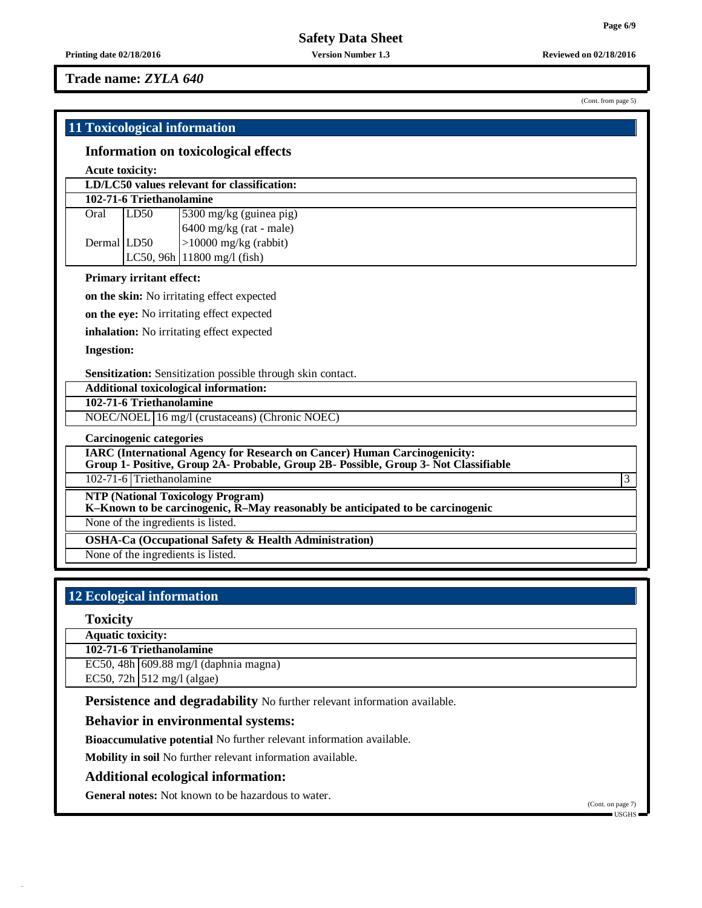## **Trade name:** *ZYLA 640*

**11 Toxicological information**

# **Information on toxicological effects**

#### **Acute toxicity:**

|             |                          | LD/LC50 values relevant for classification: |
|-------------|--------------------------|---------------------------------------------|
|             | 102-71-6 Triethanolamine |                                             |
| Oral        | LD50                     | 5300 mg/kg (guinea pig)                     |
|             |                          | $6400$ mg/kg (rat - male)                   |
| Dermal LD50 |                          | $>10000$ mg/kg (rabbit)                     |
|             |                          | $LC50$ , 96h   11800 mg/l (fish)            |
|             |                          |                                             |

#### **Primary irritant effect:**

**on the skin:** No irritating effect expected

**on the eye:** No irritating effect expected

**inhalation:** No irritating effect expected

**Ingestion:**

**Sensitization:** Sensitization possible through skin contact.

**Additional toxicological information:**

**102-71-6 Triethanolamine**

NOEC/NOEL 16 mg/l (crustaceans) (Chronic NOEC)

**Carcinogenic categories**

**IARC (International Agency for Research on Cancer) Human Carcinogenicity:**

**Group 1- Positive, Group 2A- Probable, Group 2B- Possible, Group 3- Not Classifiable**

102-71-6 Triethanolamine 3

**NTP (National Toxicology Program)**

**K–Known to be carcinogenic, R–May reasonably be anticipated to be carcinogenic**

None of the ingredients is listed.

**OSHA-Ca (Occupational Safety & Health Administration)**

None of the ingredients is listed.

# **12 Ecological information**

#### **Toxicity**

**Aquatic toxicity:**

**102-71-6 Triethanolamine**

EC50, 48h 609.88 mg/l (daphnia magna)

EC50,  $72h$  512 mg/l (algae)

**Persistence and degradability** No further relevant information available.

# **Behavior in environmental systems:**

**Bioaccumulative potential** No further relevant information available.

**Mobility in soil** No further relevant information available.

#### **Additional ecological information:**

**General notes:** Not known to be hazardous to water.

(Cont. from page 5)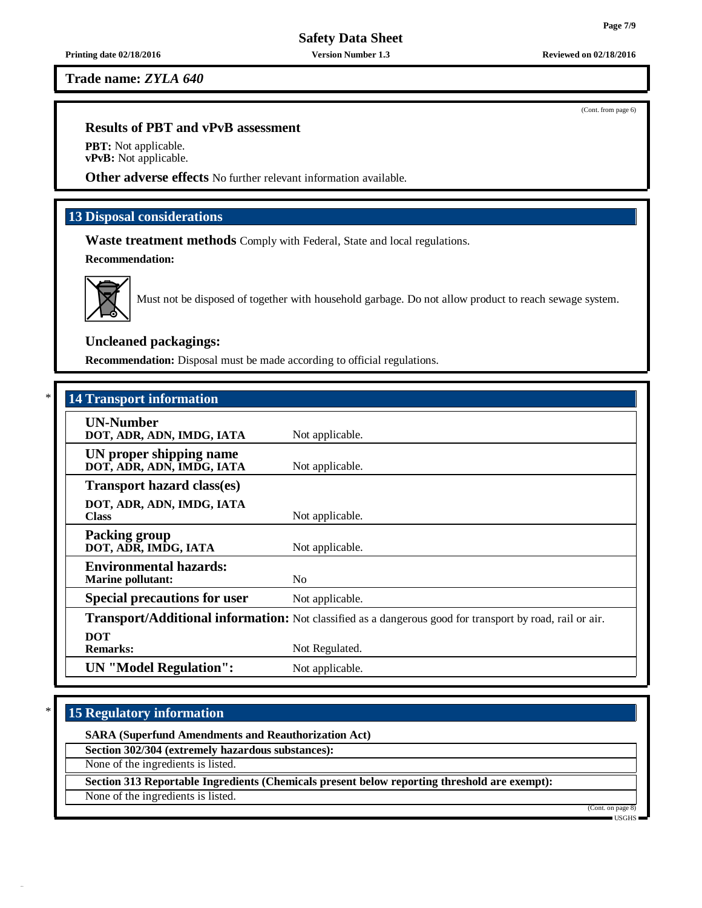**Trade name:** *ZYLA 640*

## **Results of PBT and vPvB assessment**

**PBT:** Not applicable. **vPvB:** Not applicable.

**Other adverse effects** No further relevant information available.

# **13 Disposal considerations**

**Waste treatment methods** Comply with Federal, State and local regulations.

**Recommendation:**



Must not be disposed of together with household garbage. Do not allow product to reach sewage system.

# **Uncleaned packagings:**

**Recommendation:** Disposal must be made according to official regulations.

| <b>14 Transport information</b>                           |                                                                                                          |
|-----------------------------------------------------------|----------------------------------------------------------------------------------------------------------|
| <b>UN-Number</b><br>DOT, ADR, ADN, IMDG, IATA             | Not applicable.                                                                                          |
| UN proper shipping name<br>DOT, ADR, ADN, IMDG, IATA      | Not applicable.                                                                                          |
| <b>Transport hazard class(es)</b>                         |                                                                                                          |
| DOT, ADR, ADN, IMDG, IATA<br><b>Class</b>                 | Not applicable.                                                                                          |
| <b>Packing group</b><br>DOT, ADR, IMDG, IATA              | Not applicable.                                                                                          |
| <b>Environmental hazards:</b><br><b>Marine pollutant:</b> | N <sub>o</sub>                                                                                           |
| <b>Special precautions for user</b>                       | Not applicable.                                                                                          |
|                                                           | Transport/Additional information: Not classified as a dangerous good for transport by road, rail or air. |
| <b>DOT</b><br><b>Remarks:</b>                             | Not Regulated.                                                                                           |
| <b>UN</b> "Model Regulation":                             | Not applicable.                                                                                          |

# \* **15 Regulatory information**

**SARA (Superfund Amendments and Reauthorization Act)**

**Section 302/304 (extremely hazardous substances):**

None of the ingredients is listed.

**Section 313 Reportable Ingredients (Chemicals present below reporting threshold are exempt):**

None of the ingredients is listed.



(Cont. on page USGHS

(Cont. from page 6)

**Page 7/9**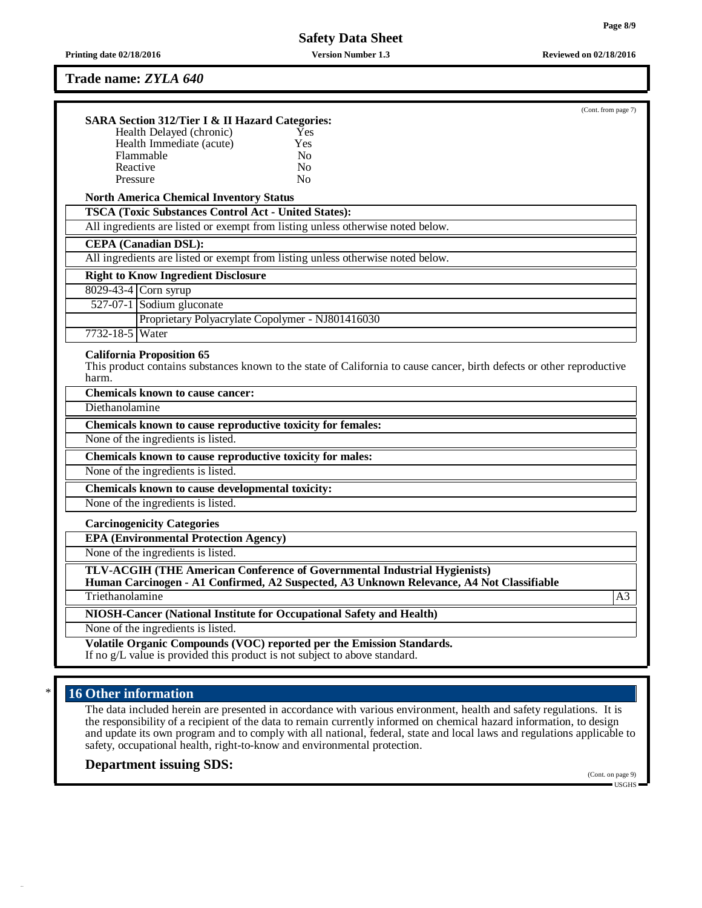**Printing date 02/18/2016 Version Number 1.3 Reviewed on 02/18/2016**

#### **Trade name:** *ZYLA 640*

| <b>SARA Section 312/Tier I &amp; II Hazard Categories:</b>  |                                                                                                                                                                       | (Cont. from page 7) |
|-------------------------------------------------------------|-----------------------------------------------------------------------------------------------------------------------------------------------------------------------|---------------------|
| Health Delayed (chronic)                                    | Yes                                                                                                                                                                   |                     |
| Health Immediate (acute)                                    | Yes                                                                                                                                                                   |                     |
| Flammable                                                   | N <sub>0</sub>                                                                                                                                                        |                     |
| Reactive                                                    | N <sub>0</sub>                                                                                                                                                        |                     |
| Pressure                                                    | N <sub>0</sub>                                                                                                                                                        |                     |
| <b>North America Chemical Inventory Status</b>              |                                                                                                                                                                       |                     |
| <b>TSCA (Toxic Substances Control Act - United States):</b> |                                                                                                                                                                       |                     |
|                                                             | All ingredients are listed or exempt from listing unless otherwise noted below.                                                                                       |                     |
| <b>CEPA</b> (Canadian DSL):                                 |                                                                                                                                                                       |                     |
|                                                             | All ingredients are listed or exempt from listing unless otherwise noted below.                                                                                       |                     |
| <b>Right to Know Ingredient Disclosure</b>                  |                                                                                                                                                                       |                     |
| 8029-43-4 Corn syrup                                        |                                                                                                                                                                       |                     |
| 527-07-1 Sodium gluconate                                   |                                                                                                                                                                       |                     |
| Proprietary Polyacrylate Copolymer - NJ801416030            |                                                                                                                                                                       |                     |
| 7732-18-5 Water                                             |                                                                                                                                                                       |                     |
| <b>California Proposition 65</b>                            | This product contains substances known to the state of California to cause cancer, birth defects or other reproductive                                                |                     |
| harm.<br>Chemicals known to cause cancer:                   |                                                                                                                                                                       |                     |
| Diethanolamine                                              |                                                                                                                                                                       |                     |
| Chemicals known to cause reproductive toxicity for females: |                                                                                                                                                                       |                     |
| None of the ingredients is listed.                          |                                                                                                                                                                       |                     |
| Chemicals known to cause reproductive toxicity for males:   |                                                                                                                                                                       |                     |
| None of the ingredients is listed.                          |                                                                                                                                                                       |                     |
| Chemicals known to cause developmental toxicity:            |                                                                                                                                                                       |                     |
| None of the ingredients is listed.                          |                                                                                                                                                                       |                     |
| <b>Carcinogenicity Categories</b>                           |                                                                                                                                                                       |                     |
| <b>EPA (Environmental Protection Agency)</b>                |                                                                                                                                                                       |                     |
| None of the ingredients is listed.                          |                                                                                                                                                                       |                     |
|                                                             | TLV-ACGIH (THE American Conference of Governmental Industrial Hygienists)<br>Human Carcinogen - A1 Confirmed, A2 Suspected, A3 Unknown Relevance, A4 Not Classifiable |                     |
| Triethanolamine                                             |                                                                                                                                                                       |                     |
|                                                             | NIOSH-Cancer (National Institute for Occupational Safety and Health)                                                                                                  |                     |
| None of the ingredients is listed.                          |                                                                                                                                                                       | A <sub>3</sub>      |

# 16 Other information

The data included herein are presented in accordance with various environment, health and safety regulations. It is the responsibility of a recipient of the data to remain currently informed on chemical hazard information, to design and update its own program and to comply with all national, federal, state and local laws and regulations applicable to safety, occupational health, right-to-know and environmental protection.

# **Department issuing SDS:**

(Cont. on page 9) USGHS